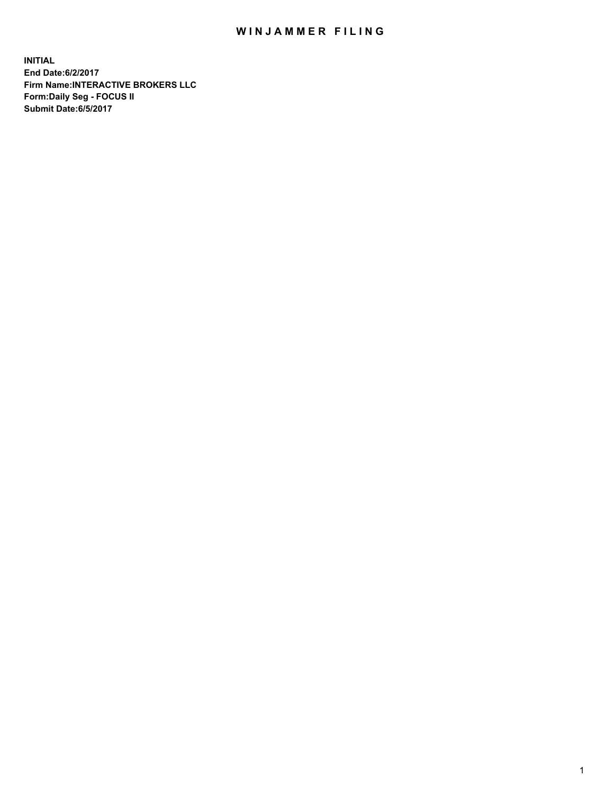## WIN JAMMER FILING

**INITIAL End Date:6/2/2017 Firm Name:INTERACTIVE BROKERS LLC Form:Daily Seg - FOCUS II Submit Date:6/5/2017**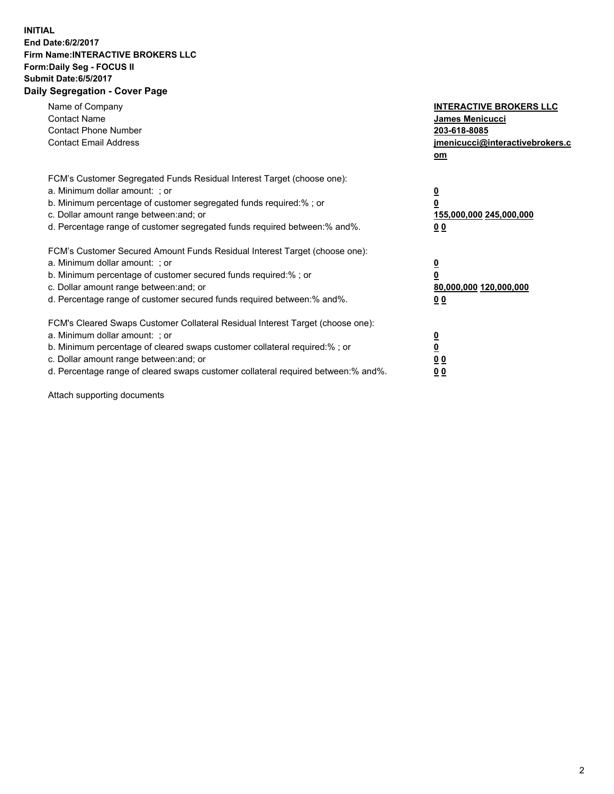## **INITIAL End Date:6/2/2017 Firm Name:INTERACTIVE BROKERS LLC Form:Daily Seg - FOCUS II Submit Date:6/5/2017 Daily Segregation - Cover Page**

| Name of Company<br><b>Contact Name</b><br><b>Contact Phone Number</b><br><b>Contact Email Address</b>                                                                                                                                                                                                                          | <b>INTERACTIVE BROKERS LLC</b><br>James Menicucci<br>203-618-8085<br>jmenicucci@interactivebrokers.c<br>om |
|--------------------------------------------------------------------------------------------------------------------------------------------------------------------------------------------------------------------------------------------------------------------------------------------------------------------------------|------------------------------------------------------------------------------------------------------------|
| FCM's Customer Segregated Funds Residual Interest Target (choose one):<br>a. Minimum dollar amount: ; or<br>b. Minimum percentage of customer segregated funds required:%; or<br>c. Dollar amount range between: and; or<br>d. Percentage range of customer segregated funds required between: % and %.                        | $\overline{\mathbf{0}}$<br>0<br>155,000,000 245,000,000<br>0 <sub>0</sub>                                  |
| FCM's Customer Secured Amount Funds Residual Interest Target (choose one):<br>a. Minimum dollar amount: ; or<br>b. Minimum percentage of customer secured funds required:%; or<br>c. Dollar amount range between: and; or<br>d. Percentage range of customer secured funds required between: % and %.                          | $\underline{\mathbf{0}}$<br>$\mathbf 0$<br>80,000,000 120,000,000<br>00                                    |
| FCM's Cleared Swaps Customer Collateral Residual Interest Target (choose one):<br>a. Minimum dollar amount: ; or<br>b. Minimum percentage of cleared swaps customer collateral required:% ; or<br>c. Dollar amount range between: and; or<br>d. Percentage range of cleared swaps customer collateral required between:% and%. | $\underline{\mathbf{0}}$<br>$\underline{\mathbf{0}}$<br>0 <sub>0</sub><br><u>00</u>                        |

Attach supporting documents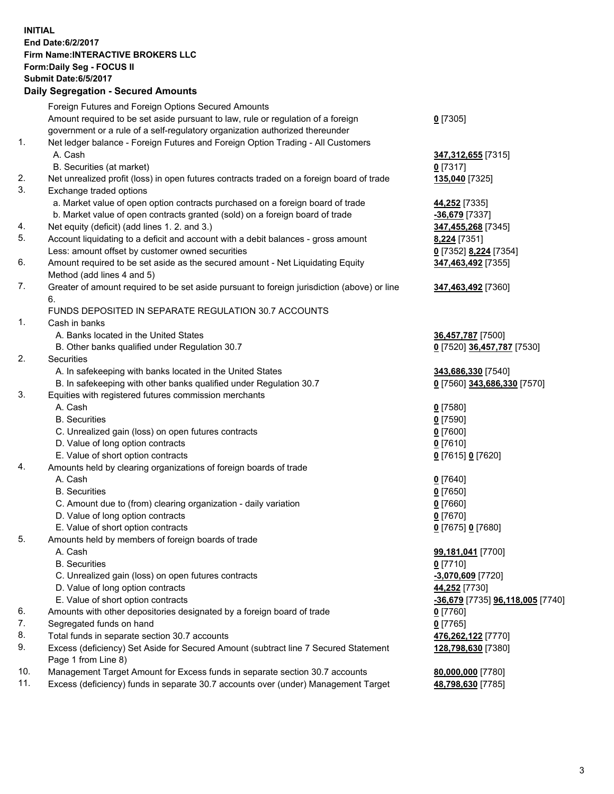## **INITIAL End Date:6/2/2017 Firm Name:INTERACTIVE BROKERS LLC Form:Daily Seg - FOCUS II Submit Date:6/5/2017 Daily Segregation - Secured Amounts**

|     | Foreign Futures and Foreign Options Secured Amounts                                         |                                  |
|-----|---------------------------------------------------------------------------------------------|----------------------------------|
|     | Amount required to be set aside pursuant to law, rule or regulation of a foreign            | $0$ [7305]                       |
|     | government or a rule of a self-regulatory organization authorized thereunder                |                                  |
| 1.  | Net ledger balance - Foreign Futures and Foreign Option Trading - All Customers             |                                  |
|     | A. Cash                                                                                     | 347,312,655 [7315]               |
|     | B. Securities (at market)                                                                   | $0$ [7317]                       |
| 2.  | Net unrealized profit (loss) in open futures contracts traded on a foreign board of trade   | 135,040 [7325]                   |
| 3.  | Exchange traded options                                                                     |                                  |
|     | a. Market value of open option contracts purchased on a foreign board of trade              | 44,252 [7335]                    |
|     | b. Market value of open contracts granted (sold) on a foreign board of trade                | $-36,679$ [7337]                 |
| 4.  | Net equity (deficit) (add lines 1.2. and 3.)                                                | 347,455,268 [7345]               |
| 5.  | Account liquidating to a deficit and account with a debit balances - gross amount           | 8,224 [7351]                     |
|     | Less: amount offset by customer owned securities                                            | 0 [7352] 8,224 [7354]            |
| 6.  | Amount required to be set aside as the secured amount - Net Liquidating Equity              | 347,463,492 [7355]               |
|     | Method (add lines 4 and 5)                                                                  |                                  |
| 7.  | Greater of amount required to be set aside pursuant to foreign jurisdiction (above) or line | 347,463,492 [7360]               |
|     | 6.                                                                                          |                                  |
|     | FUNDS DEPOSITED IN SEPARATE REGULATION 30.7 ACCOUNTS                                        |                                  |
| 1.  | Cash in banks                                                                               |                                  |
|     | A. Banks located in the United States                                                       | 36,457,787 [7500]                |
|     | B. Other banks qualified under Regulation 30.7                                              | 0 [7520] 36,457,787 [7530]       |
| 2.  | Securities                                                                                  |                                  |
|     | A. In safekeeping with banks located in the United States                                   | 343,686,330 [7540]               |
|     | B. In safekeeping with other banks qualified under Regulation 30.7                          | 0 [7560] 343,686,330 [7570]      |
| 3.  | Equities with registered futures commission merchants                                       |                                  |
|     | A. Cash                                                                                     | $0$ [7580]                       |
|     | <b>B.</b> Securities                                                                        | $0$ [7590]                       |
|     | C. Unrealized gain (loss) on open futures contracts                                         | $0$ [7600]                       |
|     | D. Value of long option contracts                                                           | $0$ [7610]                       |
|     | E. Value of short option contracts                                                          | 0 [7615] 0 [7620]                |
| 4.  | Amounts held by clearing organizations of foreign boards of trade                           |                                  |
|     | A. Cash                                                                                     | $0$ [7640]                       |
|     | <b>B.</b> Securities                                                                        | $0$ [7650]                       |
|     | C. Amount due to (from) clearing organization - daily variation                             | $0$ [7660]                       |
|     | D. Value of long option contracts                                                           | $0$ [7670]                       |
|     | E. Value of short option contracts                                                          | 0 [7675] 0 [7680]                |
| 5.  | Amounts held by members of foreign boards of trade                                          |                                  |
|     | A. Cash                                                                                     | 99,181,041 [7700]                |
|     | <b>B.</b> Securities                                                                        | $0$ [7710]                       |
|     | C. Unrealized gain (loss) on open futures contracts                                         | $-3,070,609$ [7720]              |
|     | D. Value of long option contracts                                                           | 44,252 [7730]                    |
|     | E. Value of short option contracts                                                          | -36,679 [7735] 96,118,005 [7740] |
| 6.  | Amounts with other depositories designated by a foreign board of trade                      | $0$ [7760]                       |
| 7.  | Segregated funds on hand                                                                    | $0$ [7765]                       |
| 8.  | Total funds in separate section 30.7 accounts                                               | 476,262,122 [7770]               |
| 9.  | Excess (deficiency) Set Aside for Secured Amount (subtract line 7 Secured Statement         | 128,798,630 [7380]               |
|     | Page 1 from Line 8)                                                                         |                                  |
| 10. | Management Target Amount for Excess funds in separate section 30.7 accounts                 |                                  |
| 11. | Excess (deficiency) funds in separate 30.7 accounts over (under) Management Target          | 80,000,000 [7780]                |
|     |                                                                                             | 48,798,630 [7785]                |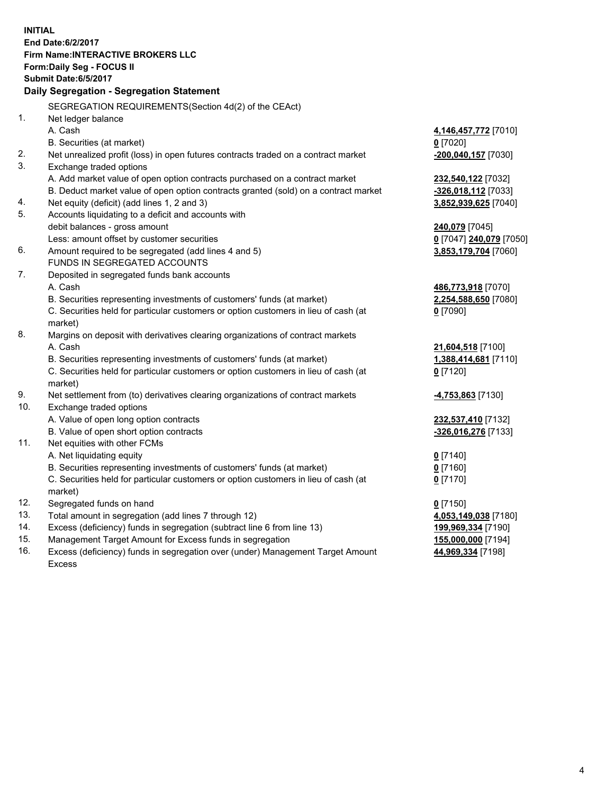**INITIAL End Date:6/2/2017 Firm Name:INTERACTIVE BROKERS LLC Form:Daily Seg - FOCUS II Submit Date:6/5/2017 Daily Segregation - Segregation Statement** SEGREGATION REQUIREMENTS(Section 4d(2) of the CEAct) 1. Net ledger balance A. Cash **4,146,457,772** [7010] B. Securities (at market) **0** [7020] 2. Net unrealized profit (loss) in open futures contracts traded on a contract market **-200,040,157** [7030] 3. Exchange traded options A. Add market value of open option contracts purchased on a contract market **232,540,122** [7032] B. Deduct market value of open option contracts granted (sold) on a contract market **-326,018,112** [7033] 4. Net equity (deficit) (add lines 1, 2 and 3) **3,852,939,625** [7040] 5. Accounts liquidating to a deficit and accounts with debit balances - gross amount **240,079** [7045] Less: amount offset by customer securities **0** [7047] **240,079** [7050] 6. Amount required to be segregated (add lines 4 and 5) **3,853,179,704** [7060] FUNDS IN SEGREGATED ACCOUNTS 7. Deposited in segregated funds bank accounts A. Cash **486,773,918** [7070] B. Securities representing investments of customers' funds (at market) **2,254,588,650** [7080] C. Securities held for particular customers or option customers in lieu of cash (at market) **0** [7090] 8. Margins on deposit with derivatives clearing organizations of contract markets A. Cash **21,604,518** [7100] B. Securities representing investments of customers' funds (at market) **1,388,414,681** [7110] C. Securities held for particular customers or option customers in lieu of cash (at market) **0** [7120] 9. Net settlement from (to) derivatives clearing organizations of contract markets **-4,753,863** [7130] 10. Exchange traded options A. Value of open long option contracts **232,537,410** [7132] B. Value of open short option contracts **-326,016,276** [7133] 11. Net equities with other FCMs A. Net liquidating equity **0** [7140] B. Securities representing investments of customers' funds (at market) **0** [7160] C. Securities held for particular customers or option customers in lieu of cash (at market) **0** [7170] 12. Segregated funds on hand **0** [7150] 13. Total amount in segregation (add lines 7 through 12) **4,053,149,038** [7180] 14. Excess (deficiency) funds in segregation (subtract line 6 from line 13) **199,969,334** [7190] 15. Management Target Amount for Excess funds in segregation **155,000,000** [7194] **44,969,334** [7198]

16. Excess (deficiency) funds in segregation over (under) Management Target Amount Excess